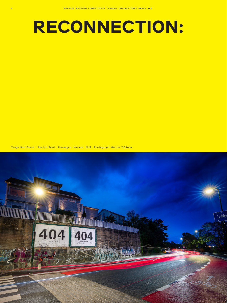## **RECONNECTION:**

'Image Not Found.' Martyn Reed. Stavanger, Norway, 2022. Photograph ©Brian Tallman.